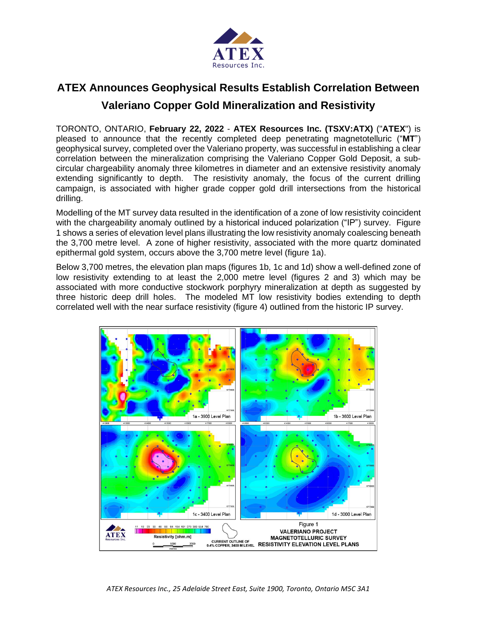

# **ATEX Announces Geophysical Results Establish Correlation Between Valeriano Copper Gold Mineralization and Resistivity**

TORONTO, ONTARIO, **February 22, 2022** - **ATEX Resources Inc. (TSXV:ATX)** ("**ATEX**") is pleased to announce that the recently completed deep penetrating magnetotelluric ("**MT**") geophysical survey, completed over the Valeriano property, was successful in establishing a clear correlation between the mineralization comprising the Valeriano Copper Gold Deposit, a subcircular chargeability anomaly three kilometres in diameter and an extensive resistivity anomaly extending significantly to depth. The resistivity anomaly, the focus of the current drilling campaign, is associated with higher grade copper gold drill intersections from the historical drilling.

Modelling of the MT survey data resulted in the identification of a zone of low resistivity coincident with the chargeability anomaly outlined by a historical induced polarization ("IP") survey. Figure 1 shows a series of elevation level plans illustrating the low resistivity anomaly coalescing beneath the 3,700 metre level. A zone of higher resistivity, associated with the more quartz dominated epithermal gold system, occurs above the 3,700 metre level (figure 1a).

Below 3,700 metres, the elevation plan maps (figures 1b, 1c and 1d) show a well-defined zone of low resistivity extending to at least the 2,000 metre level (figures 2 and 3) which may be associated with more conductive stockwork porphyry mineralization at depth as suggested by three historic deep drill holes. The modeled MT low resistivity bodies extending to depth correlated well with the near surface resistivity (figure 4) outlined from the historic IP survey.

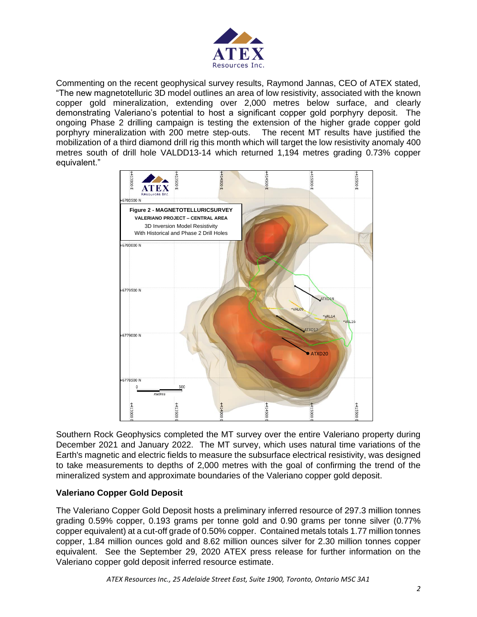

Commenting on the recent geophysical survey results, Raymond Jannas, CEO of ATEX stated, "The new magnetotelluric 3D model outlines an area of low resistivity, associated with the known copper gold mineralization, extending over 2,000 metres below surface, and clearly demonstrating Valeriano's potential to host a significant copper gold porphyry deposit. The ongoing Phase 2 drilling campaign is testing the extension of the higher grade copper gold porphyry mineralization with 200 metre step-outs. The recent MT results have justified the mobilization of a third diamond drill rig this month which will target the low resistivity anomaly 400 metres south of drill hole VALDD13-14 which returned 1,194 metres grading 0.73% copper equivalent."



Southern Rock Geophysics completed the MT survey over the entire Valeriano property during December 2021 and January 2022. The MT survey, which uses natural time variations of the Earth's magnetic and electric fields to measure the subsurface electrical resistivity, was designed to take measurements to depths of 2,000 metres with the goal of confirming the trend of the mineralized system and approximate boundaries of the Valeriano copper gold deposit.

## **Valeriano Copper Gold Deposit**

The Valeriano Copper Gold Deposit hosts a preliminary inferred resource of 297.3 million tonnes grading 0.59% copper, 0.193 grams per tonne gold and 0.90 grams per tonne silver (0.77% copper equivalent) at a cut-off grade of 0.50% copper. Contained metals totals 1.77 million tonnes copper, 1.84 million ounces gold and 8.62 million ounces silver for 2.30 million tonnes copper equivalent. See the September 29, 2020 ATEX press release for further information on the Valeriano copper gold deposit inferred resource estimate.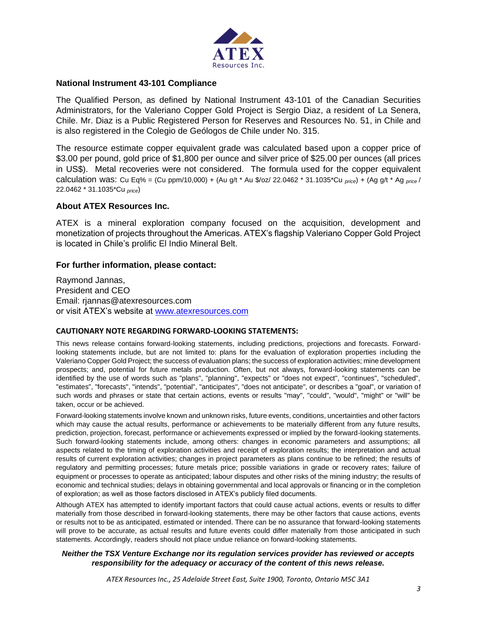

### **National Instrument 43-101 Compliance**

The Qualified Person, as defined by National Instrument 43-101 of the Canadian Securities Administrators, for the Valeriano Copper Gold Project is Sergio Diaz, a resident of La Senera, Chile. Mr. Diaz is a Public Registered Person for Reserves and Resources No. 51, in Chile and is also registered in the Colegio de Geólogos de Chile under No. 315.

The resource estimate copper equivalent grade was calculated based upon a copper price of \$3.00 per pound, gold price of \$1,800 per ounce and silver price of \$25.00 per ounces (all prices in US\$). Metal recoveries were not considered. The formula used for the copper equivalent calculation was: Cu Eq% = (Cu ppm/10,000) + (Au g/t \* Au \$/oz/ 22.0462 \* 31.1035\*Cu *price*) + (Ag g/t \* Ag *price* / 22.0462 \* 31.1035\*Cu *price*)

## **About ATEX Resources Inc.**

ATEX is a mineral exploration company focused on the acquisition, development and monetization of projects throughout the Americas. ATEX's flagship Valeriano Copper Gold Project is located in Chile's prolific El Indio Mineral Belt.

### **For further information, please contact:**

Raymond Jannas, President and CEO Email: rjannas@atexresources.com or visit ATEX's website at [www.atexresources.com](http://www.atexresources.com/)

#### **CAUTIONARY NOTE REGARDING FORWARD-LOOKING STATEMENTS:**

This news release contains forward-looking statements, including predictions, projections and forecasts. Forwardlooking statements include, but are not limited to: plans for the evaluation of exploration properties including the Valeriano Copper Gold Project; the success of evaluation plans; the success of exploration activities; mine development prospects; and, potential for future metals production. Often, but not always, forward-looking statements can be identified by the use of words such as "plans", "planning", "expects" or "does not expect", "continues", "scheduled", "estimates", "forecasts", "intends", "potential", "anticipates", "does not anticipate", or describes a "goal", or variation of such words and phrases or state that certain actions, events or results "may", "could", "would", "might" or "will" be taken, occur or be achieved.

Forward-looking statements involve known and unknown risks, future events, conditions, uncertainties and other factors which may cause the actual results, performance or achievements to be materially different from any future results, prediction, projection, forecast, performance or achievements expressed or implied by the forward-looking statements. Such forward-looking statements include, among others: changes in economic parameters and assumptions; all aspects related to the timing of exploration activities and receipt of exploration results; the interpretation and actual results of current exploration activities; changes in project parameters as plans continue to be refined; the results of regulatory and permitting processes; future metals price; possible variations in grade or recovery rates; failure of equipment or processes to operate as anticipated; labour disputes and other risks of the mining industry; the results of economic and technical studies; delays in obtaining governmental and local approvals or financing or in the completion of exploration; as well as those factors disclosed in ATEX's publicly filed documents.

Although ATEX has attempted to identify important factors that could cause actual actions, events or results to differ materially from those described in forward-looking statements, there may be other factors that cause actions, events or results not to be as anticipated, estimated or intended. There can be no assurance that forward-looking statements will prove to be accurate, as actual results and future events could differ materially from those anticipated in such statements. Accordingly, readers should not place undue reliance on forward-looking statements.

#### *Neither the TSX Venture Exchange nor its regulation services provider has reviewed or accepts responsibility for the adequacy or accuracy of the content of this news release.*